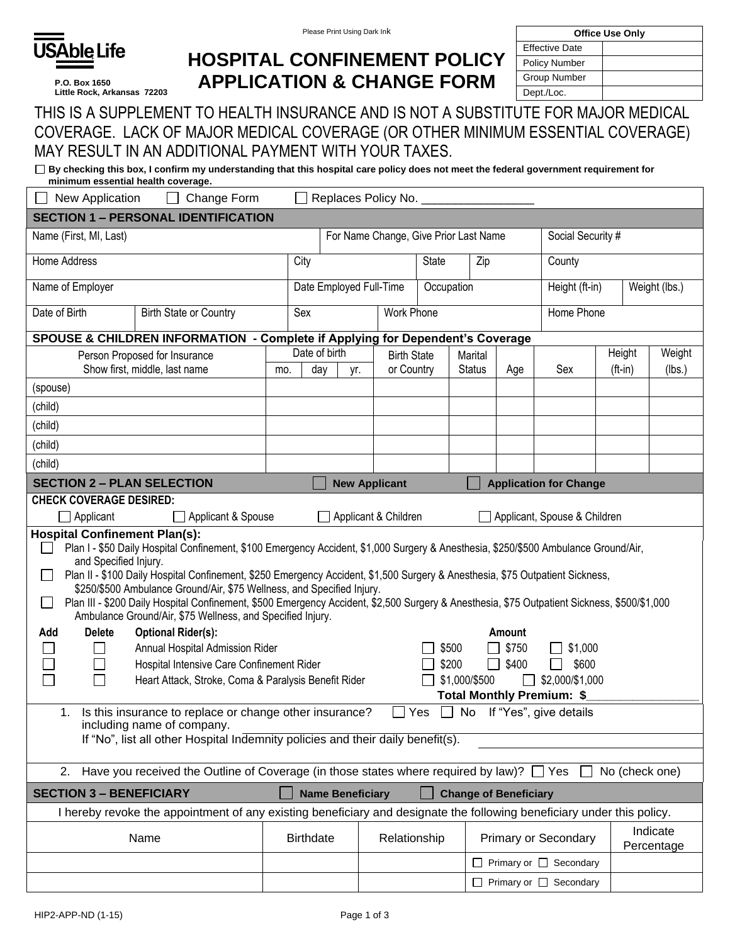

**P.O. Box 1650 Little Rock, Arkansas 72203**

| <b>Office Use Only</b> |  |  |  |  |  |
|------------------------|--|--|--|--|--|
| <b>Effective Date</b>  |  |  |  |  |  |
| <b>Policy Number</b>   |  |  |  |  |  |
| Group Number           |  |  |  |  |  |
| Dept./Loc.             |  |  |  |  |  |

## **HOSPITAL CONFINEMENT POLICY APPLICATION & CHANGE FORM**

| THIS IS A SUPPLEMENT TO HEALTH INSURANCE AND IS NOT A SUBSTITUTE FOR MAJOR MEDICAL |
|------------------------------------------------------------------------------------|
| COVERAGE. LACK OF MAJOR MEDICAL COVERAGE (OR OTHER MINIMUM ESSENTIAL COVERAGE)     |
| MAY RESULT IN AN ADDITIONAL PAYMENT WITH YOUR TAXES.                               |

| □ By checking this box, I confirm my understanding that this hospital care policy does not meet the federal government requirement for |
|----------------------------------------------------------------------------------------------------------------------------------------|
| minimum essential health coverage.                                                                                                     |

| Change Form<br>Replaces Policy No.<br>New Application                                                                                                                                                                                                                                                                                                                                                                                                                                                                                                                                                                                             |                                                                               |     |                  |                                       |                      |                               |                                 |               |                              |           |                        |
|---------------------------------------------------------------------------------------------------------------------------------------------------------------------------------------------------------------------------------------------------------------------------------------------------------------------------------------------------------------------------------------------------------------------------------------------------------------------------------------------------------------------------------------------------------------------------------------------------------------------------------------------------|-------------------------------------------------------------------------------|-----|------------------|---------------------------------------|----------------------|-------------------------------|---------------------------------|---------------|------------------------------|-----------|------------------------|
|                                                                                                                                                                                                                                                                                                                                                                                                                                                                                                                                                                                                                                                   | <b>SECTION 1 - PERSONAL IDENTIFICATION</b>                                    |     |                  |                                       |                      |                               |                                 |               |                              |           |                        |
| Name (First, MI, Last)<br>For Name Change, Give Prior Last Name<br>Social Security #                                                                                                                                                                                                                                                                                                                                                                                                                                                                                                                                                              |                                                                               |     |                  |                                       |                      |                               |                                 |               |                              |           |                        |
| Home Address                                                                                                                                                                                                                                                                                                                                                                                                                                                                                                                                                                                                                                      |                                                                               |     | City             | <b>State</b><br>Zip                   |                      |                               |                                 | County        |                              |           |                        |
| Name of Employer                                                                                                                                                                                                                                                                                                                                                                                                                                                                                                                                                                                                                                  |                                                                               |     |                  | Date Employed Full-Time<br>Occupation |                      |                               | Height (ft-in)<br>Weight (lbs.) |               |                              |           |                        |
| Date of Birth                                                                                                                                                                                                                                                                                                                                                                                                                                                                                                                                                                                                                                     | <b>Birth State or Country</b>                                                 |     | Sex              |                                       | <b>Work Phone</b>    |                               |                                 |               | Home Phone                   |           |                        |
|                                                                                                                                                                                                                                                                                                                                                                                                                                                                                                                                                                                                                                                   | SPOUSE & CHILDREN INFORMATION - Complete if Applying for Dependent's Coverage |     |                  |                                       |                      |                               |                                 |               |                              |           |                        |
|                                                                                                                                                                                                                                                                                                                                                                                                                                                                                                                                                                                                                                                   | Person Proposed for Insurance                                                 |     | Date of birth    |                                       |                      | <b>Birth State</b><br>Marital |                                 | Height        |                              | Weight    |                        |
|                                                                                                                                                                                                                                                                                                                                                                                                                                                                                                                                                                                                                                                   | Show first, middle, last name                                                 | mo. | day              | yr.                                   | or Country           |                               | <b>Status</b>                   | Age           | Sex                          | $(ft-in)$ | (lbs.)                 |
| (spouse)                                                                                                                                                                                                                                                                                                                                                                                                                                                                                                                                                                                                                                          |                                                                               |     |                  |                                       |                      |                               |                                 |               |                              |           |                        |
| (child)                                                                                                                                                                                                                                                                                                                                                                                                                                                                                                                                                                                                                                           |                                                                               |     |                  |                                       |                      |                               |                                 |               |                              |           |                        |
| (child)                                                                                                                                                                                                                                                                                                                                                                                                                                                                                                                                                                                                                                           |                                                                               |     |                  |                                       |                      |                               |                                 |               |                              |           |                        |
| (child)                                                                                                                                                                                                                                                                                                                                                                                                                                                                                                                                                                                                                                           |                                                                               |     |                  |                                       |                      |                               |                                 |               |                              |           |                        |
| (child)                                                                                                                                                                                                                                                                                                                                                                                                                                                                                                                                                                                                                                           |                                                                               |     |                  |                                       |                      |                               |                                 |               |                              |           |                        |
| <b>SECTION 2 - PLAN SELECTION</b><br><b>New Applicant</b><br><b>Application for Change</b>                                                                                                                                                                                                                                                                                                                                                                                                                                                                                                                                                        |                                                                               |     |                  |                                       |                      |                               |                                 |               |                              |           |                        |
| <b>CHECK COVERAGE DESIRED:</b>                                                                                                                                                                                                                                                                                                                                                                                                                                                                                                                                                                                                                    |                                                                               |     |                  |                                       |                      |                               |                                 |               |                              |           |                        |
| $\Box$ Applicant                                                                                                                                                                                                                                                                                                                                                                                                                                                                                                                                                                                                                                  | Applicant & Spouse                                                            |     |                  |                                       | Applicant & Children |                               |                                 |               | Applicant, Spouse & Children |           |                        |
| <b>Hospital Confinement Plan(s):</b><br>Plan I - \$50 Daily Hospital Confinement, \$100 Emergency Accident, \$1,000 Surgery & Anesthesia, \$250/\$500 Ambulance Ground/Air,<br>and Specified Injury.<br>Plan II - \$100 Daily Hospital Confinement, \$250 Emergency Accident, \$1,500 Surgery & Anesthesia, \$75 Outpatient Sickness,<br>$\sim$<br>\$250/\$500 Ambulance Ground/Air, \$75 Wellness, and Specified Injury.<br>Plan III - \$200 Daily Hospital Confinement, \$500 Emergency Accident, \$2,500 Surgery & Anesthesia, \$75 Outpatient Sickness, \$500/\$1,000<br>$\Box$<br>Ambulance Ground/Air, \$75 Wellness, and Specified Injury. |                                                                               |     |                  |                                       |                      |                               |                                 |               |                              |           |                        |
| Add<br><b>Delete</b>                                                                                                                                                                                                                                                                                                                                                                                                                                                                                                                                                                                                                              | <b>Optional Rider(s):</b>                                                     |     |                  |                                       |                      |                               |                                 | <b>Amount</b> |                              |           |                        |
|                                                                                                                                                                                                                                                                                                                                                                                                                                                                                                                                                                                                                                                   | Annual Hospital Admission Rider                                               |     |                  |                                       |                      | \$500                         |                                 | \$750         | \$1,000                      |           |                        |
|                                                                                                                                                                                                                                                                                                                                                                                                                                                                                                                                                                                                                                                   | Hospital Intensive Care Confinement Rider                                     |     |                  |                                       |                      | \$200                         | $\perp$                         | \$400         | \$600<br>$\mathsf{L}$        |           |                        |
| \$1,000/\$500<br>\$2,000/\$1,000<br>Heart Attack, Stroke, Coma & Paralysis Benefit Rider<br>$\mathbf{1}$                                                                                                                                                                                                                                                                                                                                                                                                                                                                                                                                          |                                                                               |     |                  |                                       |                      |                               |                                 |               |                              |           |                        |
| Total Monthly Premium: \$                                                                                                                                                                                                                                                                                                                                                                                                                                                                                                                                                                                                                         |                                                                               |     |                  |                                       |                      |                               |                                 |               |                              |           |                        |
| $\Box$ No If "Yes", give details<br>Is this insurance to replace or change other insurance?<br>Yes<br>1.                                                                                                                                                                                                                                                                                                                                                                                                                                                                                                                                          |                                                                               |     |                  |                                       |                      |                               |                                 |               |                              |           |                        |
| including name of company.<br>If "No", list all other Hospital Indemnity policies and their daily benefit(s).                                                                                                                                                                                                                                                                                                                                                                                                                                                                                                                                     |                                                                               |     |                  |                                       |                      |                               |                                 |               |                              |           |                        |
|                                                                                                                                                                                                                                                                                                                                                                                                                                                                                                                                                                                                                                                   |                                                                               |     |                  |                                       |                      |                               |                                 |               |                              |           |                        |
| Have you received the Outline of Coverage (in those states where required by law)?<br>Yes<br>No (check one)<br>2.                                                                                                                                                                                                                                                                                                                                                                                                                                                                                                                                 |                                                                               |     |                  |                                       |                      |                               |                                 |               |                              |           |                        |
| <b>SECTION 3 - BENEFICIARY</b><br><b>Name Beneficiary</b><br><b>Change of Beneficiary</b>                                                                                                                                                                                                                                                                                                                                                                                                                                                                                                                                                         |                                                                               |     |                  |                                       |                      |                               |                                 |               |                              |           |                        |
| I hereby revoke the appointment of any existing beneficiary and designate the following beneficiary under this policy.                                                                                                                                                                                                                                                                                                                                                                                                                                                                                                                            |                                                                               |     |                  |                                       |                      |                               |                                 |               |                              |           |                        |
|                                                                                                                                                                                                                                                                                                                                                                                                                                                                                                                                                                                                                                                   | Name                                                                          |     | <b>Birthdate</b> |                                       | Relationship         |                               |                                 |               | <b>Primary or Secondary</b>  |           | Indicate<br>Percentage |
|                                                                                                                                                                                                                                                                                                                                                                                                                                                                                                                                                                                                                                                   |                                                                               |     |                  |                                       |                      |                               |                                 |               | □ Primary or □ Secondary     |           |                        |
|                                                                                                                                                                                                                                                                                                                                                                                                                                                                                                                                                                                                                                                   |                                                                               |     |                  |                                       |                      |                               |                                 |               | □ Primary or □ Secondary     |           |                        |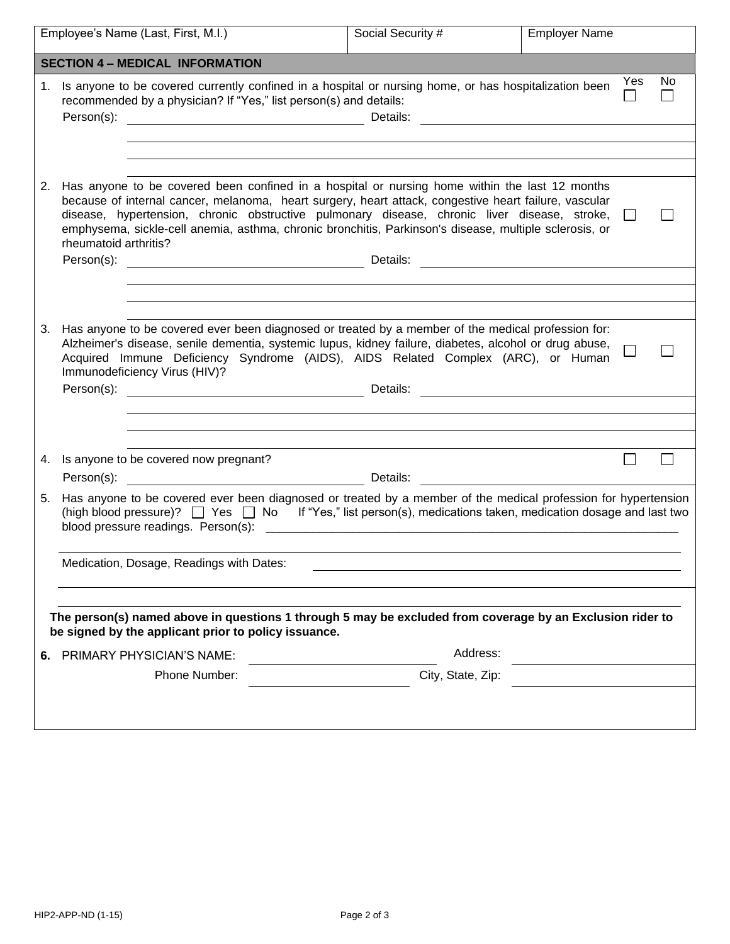| Employee's Name (Last, First, M.I.) |                                                                                                                                                                                                             |                                                                                                                                                                                                                                                                                                                                                                                                                   | Social Security #                                                                                                     | <b>Employer Name</b> |  |              |
|-------------------------------------|-------------------------------------------------------------------------------------------------------------------------------------------------------------------------------------------------------------|-------------------------------------------------------------------------------------------------------------------------------------------------------------------------------------------------------------------------------------------------------------------------------------------------------------------------------------------------------------------------------------------------------------------|-----------------------------------------------------------------------------------------------------------------------|----------------------|--|--------------|
|                                     |                                                                                                                                                                                                             | <b>SECTION 4 - MEDICAL INFORMATION</b>                                                                                                                                                                                                                                                                                                                                                                            |                                                                                                                       |                      |  |              |
| 1.                                  | Yes<br>Is anyone to be covered currently confined in a hospital or nursing home, or has hospitalization been<br>recommended by a physician? If "Yes," list person(s) and details:<br>Person(s):<br>Details: |                                                                                                                                                                                                                                                                                                                                                                                                                   |                                                                                                                       |                      |  | No           |
|                                     |                                                                                                                                                                                                             |                                                                                                                                                                                                                                                                                                                                                                                                                   |                                                                                                                       |                      |  |              |
|                                     |                                                                                                                                                                                                             |                                                                                                                                                                                                                                                                                                                                                                                                                   |                                                                                                                       |                      |  |              |
| 2.                                  | rheumatoid arthritis?                                                                                                                                                                                       | Has anyone to be covered been confined in a hospital or nursing home within the last 12 months<br>because of internal cancer, melanoma, heart surgery, heart attack, congestive heart failure, vascular<br>disease, hypertension, chronic obstructive pulmonary disease, chronic liver disease, stroke,<br>emphysema, sickle-cell anemia, asthma, chronic bronchitis, Parkinson's disease, multiple sclerosis, or | <u> 1989 - Andrea State Barbara, política e a provincia de la provincia de la provincia de la provincia de la pro</u> |                      |  |              |
|                                     |                                                                                                                                                                                                             |                                                                                                                                                                                                                                                                                                                                                                                                                   |                                                                                                                       |                      |  |              |
|                                     |                                                                                                                                                                                                             |                                                                                                                                                                                                                                                                                                                                                                                                                   |                                                                                                                       |                      |  |              |
| 3.                                  | Person(s):                                                                                                                                                                                                  | Has anyone to be covered ever been diagnosed or treated by a member of the medical profession for:<br>Alzheimer's disease, senile dementia, systemic lupus, kidney failure, diabetes, alcohol or drug abuse,<br>Acquired Immune Deficiency Syndrome (AIDS), AIDS Related Complex (ARC), or Human<br>Immunodeficiency Virus (HIV)?<br>Details:                                                                     | <u> 1989 - Andrea Station Barbara (h. 1989)</u>                                                                       |                      |  |              |
|                                     |                                                                                                                                                                                                             |                                                                                                                                                                                                                                                                                                                                                                                                                   |                                                                                                                       |                      |  |              |
|                                     |                                                                                                                                                                                                             |                                                                                                                                                                                                                                                                                                                                                                                                                   |                                                                                                                       |                      |  |              |
|                                     |                                                                                                                                                                                                             | 4. Is anyone to be covered now pregnant?                                                                                                                                                                                                                                                                                                                                                                          |                                                                                                                       |                      |  | $\mathbf{L}$ |
|                                     |                                                                                                                                                                                                             | Person(s): Details:                                                                                                                                                                                                                                                                                                                                                                                               |                                                                                                                       |                      |  |              |
| 5.                                  |                                                                                                                                                                                                             | Has anyone to be covered ever been diagnosed or treated by a member of the medical profession for hypertension<br>(high blood pressure)? $\Box$ Yes $\Box$ No If "Yes," list person(s), medications taken, medication dosage and last two                                                                                                                                                                         |                                                                                                                       |                      |  |              |
|                                     |                                                                                                                                                                                                             | Medication, Dosage, Readings with Dates:                                                                                                                                                                                                                                                                                                                                                                          |                                                                                                                       |                      |  |              |
|                                     |                                                                                                                                                                                                             | The person(s) named above in questions 1 through 5 may be excluded from coverage by an Exclusion rider to<br>be signed by the applicant prior to policy issuance.<br>6. PRIMARY PHYSICIAN'S NAME:                                                                                                                                                                                                                 | Address:                                                                                                              |                      |  |              |
|                                     |                                                                                                                                                                                                             | Phone Number:                                                                                                                                                                                                                                                                                                                                                                                                     | City, State, Zip:                                                                                                     |                      |  |              |
|                                     |                                                                                                                                                                                                             |                                                                                                                                                                                                                                                                                                                                                                                                                   |                                                                                                                       |                      |  |              |